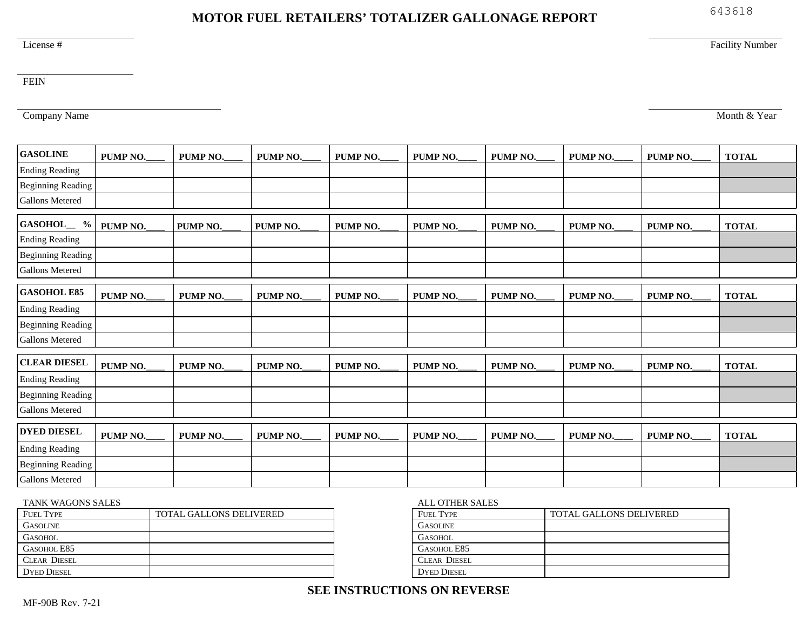# **SEE INSTRUCTIONS ON REVERSE**

# **MOTOR FUEL RETAILERS' TOTALIZER GALLONAGE REPORT**

#### License #

FEIN

Company Name

| <b>GASOLINE</b>           | PUMP NO. | PUMP <sub>NO</sub> . | PUMP <sub>NO</sub> . | PUMP NO. | PUMP <sub>NO</sub> . | PUMP <sub>NO</sub> . | PUMP <sub>NO</sub> . | PUMP <sub>NO</sub> . | <b>TOTAL</b> |
|---------------------------|----------|----------------------|----------------------|----------|----------------------|----------------------|----------------------|----------------------|--------------|
| <b>Ending Reading</b>     |          |                      |                      |          |                      |                      |                      |                      |              |
| <b>Beginning Reading</b>  |          |                      |                      |          |                      |                      |                      |                      |              |
| <b>Gallons Metered</b>    |          |                      |                      |          |                      |                      |                      |                      |              |
| GASOHOL_<br>$\frac{0}{0}$ | PUMP NO. | PUMP NO.             | PUMP NO.             | PUMP NO. | PUMP NO.             | PUMP NO.             | PUMP NO.             | PUMP NO.             | <b>TOTAL</b> |
| <b>Ending Reading</b>     |          |                      |                      |          |                      |                      |                      |                      |              |
| <b>Beginning Reading</b>  |          |                      |                      |          |                      |                      |                      |                      |              |
| <b>Gallons Metered</b>    |          |                      |                      |          |                      |                      |                      |                      |              |
| <b>GASOHOL E85</b>        | PUMP NO. | PUMP NO.             | PUMP NO.             | PUMP NO. | PUMP NO.             | PUMP NO.             | PUMP NO.             | PUMP NO.             | <b>TOTAL</b> |
| <b>Ending Reading</b>     |          |                      |                      |          |                      |                      |                      |                      |              |
| <b>Beginning Reading</b>  |          |                      |                      |          |                      |                      |                      |                      |              |
| <b>Gallons Metered</b>    |          |                      |                      |          |                      |                      |                      |                      |              |
| <b>CLEAR DIESEL</b>       | PUMP NO. | PUMP NO.             | PUMP NO.             | PUMP NO. | PUMP <sub>NO</sub> . | PUMP <sub>NO</sub> . | PUMP NO.             | PUMP <sub>NO</sub> . | <b>TOTAL</b> |
| <b>Ending Reading</b>     |          |                      |                      |          |                      |                      |                      |                      |              |
| <b>Beginning Reading</b>  |          |                      |                      |          |                      |                      |                      |                      |              |
| <b>Gallons Metered</b>    |          |                      |                      |          |                      |                      |                      |                      |              |
| <b>DYED DIESEL</b>        | PUMP NO. | PUMP NO.             | PUMP NO.             | PUMP NO. | PUMP NO.             | PUMP NO.             | PUMP NO.             | PUMP NO.             | <b>TOTAL</b> |
| <b>Ending Reading</b>     |          |                      |                      |          |                      |                      |                      |                      |              |
| <b>Beginning Reading</b>  |          |                      |                      |          |                      |                      |                      |                      |              |
| <b>Gallons Metered</b>    |          |                      |                      |          |                      |                      |                      |                      |              |

## TANK WAGONS SALES

| <b>FUEL TYPE</b>    | <b>TOTAL GALLONS DELIVERED</b> |
|---------------------|--------------------------------|
| <b>GASOLINE</b>     |                                |
| <b>GASOHOL</b>      |                                |
| GASOHOL E85         |                                |
| <b>CLEAR DIESEL</b> |                                |
| <b>DYED DIESEL</b>  |                                |

### ALL OTHER SALES FUEL TYPE TURNED TOTAL GALLONS DELIVERED

| 1 ULL 1 1 1 L       | TO ITIL OTILLOI 19 DLLI VLIALD |
|---------------------|--------------------------------|
| <b>GASOLINE</b>     |                                |
| <b>GASOHOL</b>      |                                |
| <b>GASOHOL E85</b>  |                                |
| <b>CLEAR DIESEL</b> |                                |
| <b>DYED DIESEL</b>  |                                |

Month & Year

Facility Number